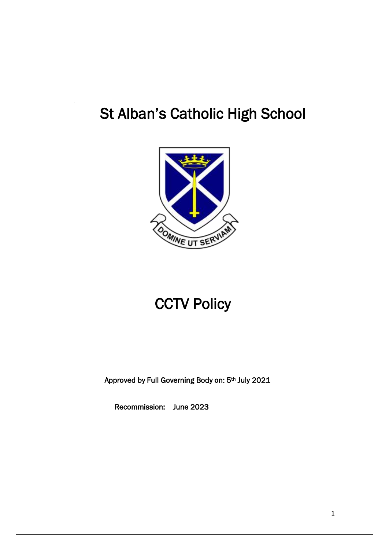# St Alban's Catholic High School



# **CCTV Policy**

Approved by Full Governing Body on: 5th July 2021

Recommission: June 2023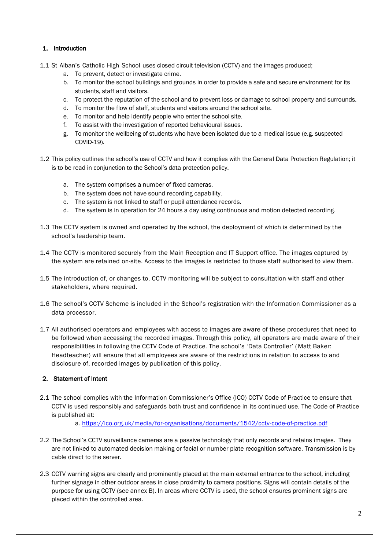# 1. Introduction

- 1.1 St Alban's Catholic High School uses closed circuit television (CCTV) and the images produced;
	- a. To prevent, detect or investigate crime.
	- b. To monitor the school buildings and grounds in order to provide a safe and secure environment for its students, staff and visitors.
	- c. To protect the reputation of the school and to prevent loss or damage to school property and surrounds.
	- d. To monitor the flow of staff, students and visitors around the school site.
	- e. To monitor and help identify people who enter the school site.
	- f. To assist with the investigation of reported behavioural issues.
	- g. To monitor the wellbeing of students who have been isolated due to a medical issue (e.g. suspected COVID-19).
- 1.2 This policy outlines the school's use of CCTV and how it complies with the General Data Protection Regulation; it is to be read in conjunction to the School's data protection policy.
	- a. The system comprises a number of fixed cameras.
	- b. The system does not have sound recording capability.
	- c. The system is not linked to staff or pupil attendance records.
	- d. The system is in operation for 24 hours a day using continuous and motion detected recording.
- 1.3 The CCTV system is owned and operated by the school, the deployment of which is determined by the school's leadership team.
- 1.4 The CCTV is monitored securely from the Main Reception and IT Support office. The images captured by the system are retained on-site. Access to the images is restricted to those staff authorised to view them.
- 1.5 The introduction of, or changes to, CCTV monitoring will be subject to consultation with staff and other stakeholders, where required.
- 1.6 The school's CCTV Scheme is included in the School's registration with the Information Commissioner as a data processor.
- 1.7 All authorised operators and employees with access to images are aware of these procedures that need to be followed when accessing the recorded images. Through this policy, all operators are made aware of their responsibilities in following the CCTV Code of Practice. The school's 'Data Controller' (Matt Baker: Headteacher) will ensure that all employees are aware of the restrictions in relation to access to and disclosure of, recorded images by publication of this policy.

# 2. Statement of Intent

2.1 The school complies with the Information Commissioner's Office (ICO) CCTV Code of Practice to ensure that CCTV is used responsibly and safeguards both trust and confidence in its continued use. The Code of Practice is published at:

a.<https://ico.org.uk/media/for-organisations/documents/1542/cctv-code-of-practice.pdf>

- 2.2 The School's CCTV surveillance cameras are a passive technology that only records and retains images. They are not linked to automated decision making or facial or number plate recognition software. Transmission is by cable direct to the server.
- 2.3 CCTV warning signs are clearly and prominently placed at the main external entrance to the school, including further signage in other outdoor areas in close proximity to camera positions. Signs will contain details of the purpose for using CCTV (see annex B). In areas where CCTV is used, the school ensures prominent signs are placed within the controlled area.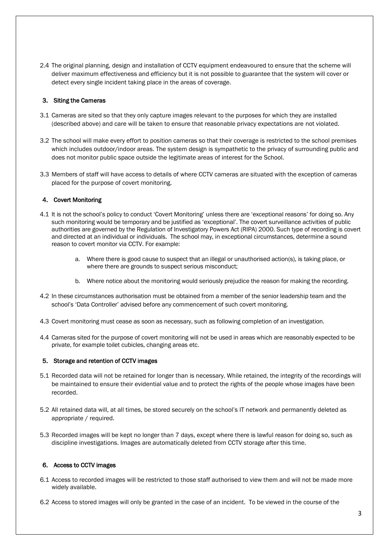2.4 The original planning, design and installation of CCTV equipment endeavoured to ensure that the scheme will deliver maximum effectiveness and efficiency but it is not possible to guarantee that the system will cover or detect every single incident taking place in the areas of coverage.

## 3. Siting the Cameras

- 3.1 Cameras are sited so that they only capture images relevant to the purposes for which they are installed (described above) and care will be taken to ensure that reasonable privacy expectations are not violated.
- 3.2 The school will make every effort to position cameras so that their coverage is restricted to the school premises which includes outdoor/indoor areas. The system design is sympathetic to the privacy of surrounding public and does not monitor public space outside the legitimate areas of interest for the School.
- 3.3 Members of staff will have access to details of where CCTV cameras are situated with the exception of cameras placed for the purpose of covert monitoring.

## 4. Covert Monitoring

- 4.1 It is not the school's policy to conduct 'Covert Monitoring' unless there are 'exceptional reasons' for doing so. Any such monitoring would be temporary and be justified as 'exceptional'. The covert surveillance activities of public authorities are governed by the Regulation of Investigatory Powers Act (RIPA) 2000. Such type of recording is covert and directed at an individual or individuals. The school may, in exceptional circumstances, determine a sound reason to covert monitor via CCTV. For example:
	- a. Where there is good cause to suspect that an illegal or unauthorised action(s), is taking place, or where there are grounds to suspect serious misconduct;
	- b. Where notice about the monitoring would seriously prejudice the reason for making the recording.
- 4.2 In these circumstances authorisation must be obtained from a member of the senior leadership team and the school's 'Data Controller' advised before any commencement of such covert monitoring.
- 4.3 Covert monitoring must cease as soon as necessary, such as following completion of an investigation.
- 4.4 Cameras sited for the purpose of covert monitoring will not be used in areas which are reasonably expected to be private, for example toilet cubicles, changing areas etc.

#### 5. Storage and retention of CCTV images

- 5.1 Recorded data will not be retained for longer than is necessary. While retained, the integrity of the recordings will be maintained to ensure their evidential value and to protect the rights of the people whose images have been recorded.
- 5.2 All retained data will, at all times, be stored securely on the school's IT network and permanently deleted as appropriate / required.
- 5.3 Recorded images will be kept no longer than 7 days, except where there is lawful reason for doing so, such as discipline investigations. Images are automatically deleted from CCTV storage after this time.

#### 6. Access to CCTV images

- 6.1 Access to recorded images will be restricted to those staff authorised to view them and will not be made more widely available.
- 6.2 Access to stored images will only be granted in the case of an incident. To be viewed in the course of the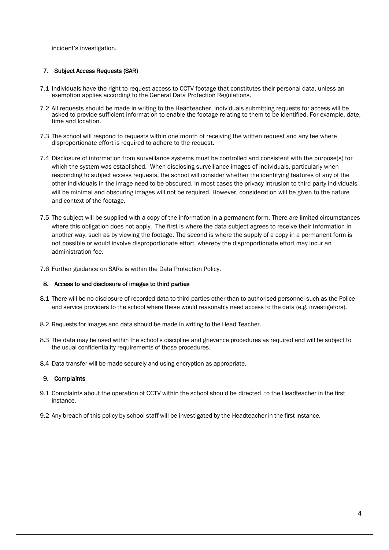incident's investigation.

## 7. Subject Access Requests (SAR)

- 7.1 Individuals have the right to request access to CCTV footage that constitutes their personal data, unless an exemption applies according to the General Data Protection Regulations.
- 7.2 All requests should be made in writing to the Headteacher. Individuals submitting requests for access will be asked to provide sufficient information to enable the footage relating to them to be identified. For example, date, time and location.
- 7.3 The school will respond to requests within one month of receiving the written request and any fee where disproportionate effort is required to adhere to the request.
- 7.4 Disclosure of information from surveillance systems must be controlled and consistent with the purpose(s) for which the system was established. When disclosing surveillance images of individuals, particularly when responding to subject access requests, the school will consider whether the identifying features of any of the other individuals in the image need to be obscured. In most cases the privacy intrusion to third party individuals will be minimal and obscuring images will not be required. However, consideration will be given to the nature and context of the footage.
- 7.5 The subject will be supplied with a copy of the information in a permanent form. There are limited circumstances where this obligation does not apply. The first is where the data subject agrees to receive their information in another way, such as by viewing the footage. The second is where the supply of a copy in a permanent form is not possible or would involve disproportionate effort, whereby the disproportionate effort may incur an administration fee.
- 7.6 Further guidance on SARs is within the Data Protection Policy.

#### 8. Access to and disclosure of images to third parties

- 8.1 There will be no disclosure of recorded data to third parties other than to authorised personnel such as the Police and service providers to the school where these would reasonably need access to the data (e.g. investigators).
- 8.2 Requests for images and data should be made in writing to the Head Teacher.
- 8.3 The data may be used within the school's discipline and grievance procedures as required and will be subject to the usual confidentiality requirements of those procedures.
- 8.4 Data transfer will be made securely and using encryption as appropriate.

#### 9. Complaints

- 9.1 Complaints about the operation of CCTV within the school should be directed to the Headteacher in the first instance.
- 9.2 Any breach of this policy by school staff will be investigated by the Headteacher in the first instance.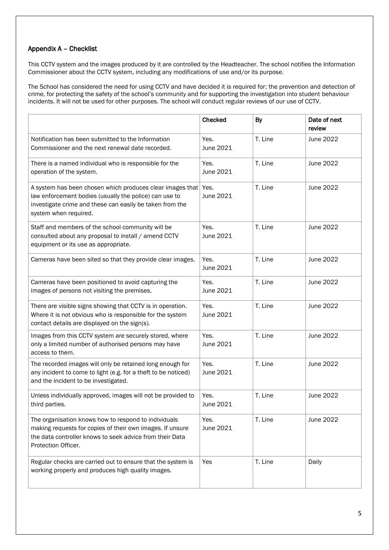# Appendix A – Checklist

This CCTV system and the images produced by it are controlled by the Headteacher. The school notifies the Information Commissioner about the CCTV system, including any modifications of use and/or its purpose.

The School has considered the need for using CCTV and have decided it is required for; the prevention and detection of crime, for protecting the safety of the school's community and for supporting the investigation into student behaviour incidents. It will not be used for other purposes. The school will conduct regular reviews of our use of CCTV.

|                                                                                                                                                                                                          | Checked           | <b>By</b> | Date of next<br>review |
|----------------------------------------------------------------------------------------------------------------------------------------------------------------------------------------------------------|-------------------|-----------|------------------------|
| Notification has been submitted to the Information<br>Commissioner and the next renewal date recorded.                                                                                                   | Yes.<br>June 2021 | T. Line   | June 2022              |
| There is a named individual who is responsible for the<br>operation of the system.                                                                                                                       | Yes.<br>June 2021 | T. Line   | June 2022              |
| A system has been chosen which produces clear images that<br>law enforcement bodies (usually the police) can use to<br>investigate crime and these can easily be taken from the<br>system when required. | Yes.<br>June 2021 | T. Line   | June 2022              |
| Staff and members of the school community will be<br>consulted about any proposal to install / amend CCTV<br>equipment or its use as appropriate.                                                        | Yes.<br>June 2021 | T. Line   | June 2022              |
| Cameras have been sited so that they provide clear images.                                                                                                                                               | Yes.<br>June 2021 | T. Line   | June 2022              |
| Cameras have been positioned to avoid capturing the<br>images of persons not visiting the premises.                                                                                                      | Yes.<br>June 2021 | T. Line   | June 2022              |
| There are visible signs showing that CCTV is in operation.<br>Where it is not obvious who is responsible for the system<br>contact details are displayed on the sign(s).                                 | Yes.<br>June 2021 | T. Line   | June 2022              |
| Images from this CCTV system are securely stored, where<br>only a limited number of authorised persons may have<br>access to them.                                                                       | Yes.<br>June 2021 | T. Line   | June 2022              |
| The recorded images will only be retained long enough for<br>any incident to come to light (e.g. for a theft to be noticed)<br>and the incident to be investigated.                                      | Yes.<br>June 2021 | T. Line   | June 2022              |
| Unless individually approved, images will not be provided to<br>third parties.                                                                                                                           | Yes.<br>June 2021 | T. Line   | June 2022              |
| The organisation knows how to respond to individuals<br>making requests for copies of their own images. If unsure<br>the data controller knows to seek advice from their Data<br>Protection Officer.     | Yes.<br>June 2021 | T. Line   | June 2022              |
| Regular checks are carried out to ensure that the system is<br>working properly and produces high quality images.                                                                                        | Yes               | T. Line   | Daily                  |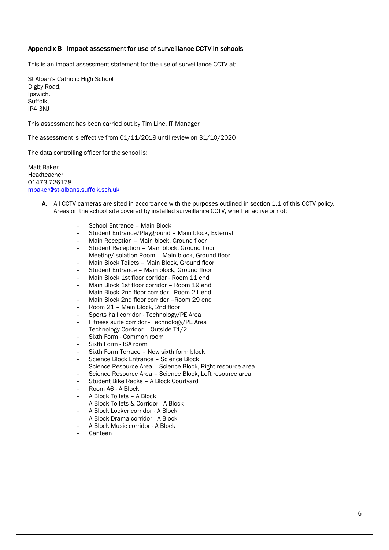## Appendix B - Impact assessment for use of surveillance CCTV in schools

This is an impact assessment statement for the use of surveillance CCTV at:

St Alban's Catholic High School Digby Road, Ipswich, Suffolk, IP4 3NJ

This assessment has been carried out by Tim Line, IT Manager

The assessment is effective from 01/11/2019 until review on 31/10/2020

The data controlling officer for the school is:

Matt Baker Headteacher 01473 726178 [mbaker@st-albans.suffolk.sch.uk](mailto:mbaker@st-albans.suffolk.sch.uk)

- A. All CCTV cameras are sited in accordance with the purposes outlined in section 1.1 of this CCTV policy. Areas on the school site covered by installed surveillance CCTV, whether active or not:
	- School Entrance Main Block
	- Student Entrance/Playground Main block, External
	- Main Reception Main block, Ground floor
	- Student Reception Main block, Ground floor
	- Meeting/Isolation Room Main block, Ground floor
	- Main Block Toilets Main Block, Ground floor
	- Student Entrance Main block, Ground floor
	- Main Block 1st floor corridor Room 11 end
	- Main Block 1st floor corridor Room 19 end
	- Main Block 2nd floor corridor Room 21 end
	- Main Block 2nd floor corridor Room 29 end
	- Room 21 Main Block, 2nd floor
	- Sports hall corridor Technology/PE Area
	- Fitness suite corridor Technology/PE Area
	- Technology Corridor Outside T1/2
	- Sixth Form Common room
	- Sixth Form ISA room
	- Sixth Form Terrace New sixth form block
	- Science Block Entrance Science Block
	- Science Resource Area Science Block, Right resource area
	- Science Resource Area Science Block, Left resource area
	- Student Bike Racks A Block Courtyard
	- Room A6 A Block
	- A Block Toilets A Block
	- A Block Toilets & Corridor A Block
	- A Block Locker corridor A Block
	- A Block Drama corridor A Block
	- A Block Music corridor A Block
	- **Canteen**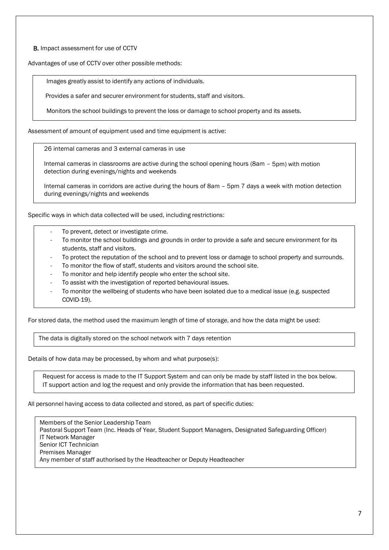B. Impact assessment for use of CCTV

Advantages of use of CCTV over other possible methods:

Images greatly assist to identify any actions of individuals.

Provides a safer and securer environment for students, staff and visitors.

Monitors the school buildings to prevent the loss or damage to school property and its assets.

Assessment of amount of equipment used and time equipment is active:

26 internal cameras and 3 external cameras in use

Internal cameras in classrooms are active during the school opening hours (8am – 5pm) with motion detection during evenings/nights and weekends

Internal cameras in corridors are active during the hours of 8am – 5pm 7 days a week with motion detection during evenings/nights and weekends

Specific ways in which data collected will be used, including restrictions:

- To prevent, detect or investigate crime.
- To monitor the school buildings and grounds in order to provide a safe and secure environment for its students, staff and visitors.
- To protect the reputation of the school and to prevent loss or damage to school property and surrounds.
- To monitor the flow of staff, students and visitors around the school site.
- To monitor and help identify people who enter the school site.
- To assist with the investigation of reported behavioural issues.
- To monitor the wellbeing of students who have been isolated due to a medical issue (e.g. suspected COVID-19).

For stored data, the method used the maximum length of time of storage, and how the data might be used:

The data is digitally stored on the school network with 7 days retention

Details of how data may be processed, by whom and what purpose(s):

Request for access is made to the IT Support System and can only be made by staff listed in the box below. IT support action and log the request and only provide the information that has been requested.

#### All personnel having access to data collected and stored, as part of specific duties:

Members of the Senior Leadership Team Pastoral Support Team (Inc. Heads of Year, Student Support Managers, Designated Safeguarding Officer) IT Network Manager Senior ICT Technician Premises Manager Any member of staff authorised by the Headteacher or Deputy Headteacher